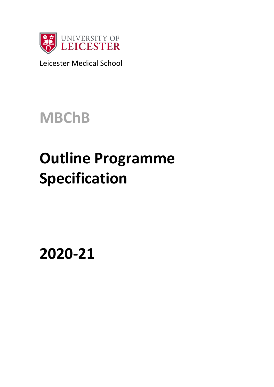

Leicester Medical School

**MBChB**

# **Outline Programme Specification**

**2020-21**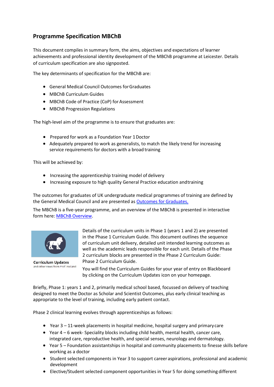# **Programme Specification MBChB**

This document compiles in summary form, the aims, objectives and expectations of learner achievements and professional identity development of the MBChB programme at Leicester. Details of curriculum specification are also signposted.

The key determinants of specification for the MBChB are:

- General Medical Council Outcomes forGraduates
- MBChB Curriculum Guides
- MBChB Code of Practice (CoP) for Assessment
- MBChB Progression Regulations

The high-level aim of the programme is to ensure that graduates are:

- Prepared for work as a Foundation Year 1Doctor
- Adequately prepared to work as generalists, to match the likely trend for increasing service requirements for doctors with a broad training

This will be achieved by:

- Increasing the apprenticeship training model of delivery
- Increasing exposure to high quality General Practice education andtraining

The outcomes for graduates of UK undergraduate medical programmes of training are defined by the General Medical Council and are presented as [Outcomes for Graduates.](https://www.gmc-uk.org/education/standards-guidance-and-curricula/standards-and-outcomes/outcomes-for-graduates)

The MBChB is a five-year programme, and an overview of the MBChB is presented in interactive form here: [MBChB Overview.](https://blackboard.le.ac.uk/bbcswebdav/courses/MEX009/curriculum/curriculum/)



**Curriculum Updates** and other news from Prof. Holland

Details of the curriculum units in Phase 1 (years 1 and 2) are presented in the Phase 1 Curriculum [Guide. T](https://blackboard.le.ac.uk/bbcswebdav/xid-3705102_2)his document outlines the sequence of curriculum unit delivery, detailed unit intended learning outcomes as well as the academic leads responsible for each unit. Details of the Phase 2 curriculum blocks are presented in the Phase 2 Curriculum Guide: Phase 2 Curriculum Guide.

You will find the Curriculum Guides for your year of entry on Blackboard by clicking on the Curriculum Updates icon on your homepage.

Briefly, Phase 1: years 1 and 2, primarily medical school based, focussed on delivery of teaching designed to meet the Doctor as Scholar and Scientist Outcomes, plus early clinical teaching as appropriate to the level of training, including early patient contact.

Phase 2 clinical learning evolves through apprenticeships as follows:

- Year 3 11-week placements in hospital medicine, hospital surgery and primary care
- Year 4 6 week- Speciality blocks including child health, mental health, cancer care, integrated care, reproductive health, and special senses, neurology and dermatology.
- Year 5 Foundation assistantships in hospital and community placements to finesse skills before working as a doctor
- Student selected components in Year 3 to support career aspirations, professional and academic development
- Elective/Student selected component opportunities in Year 5 for doing something different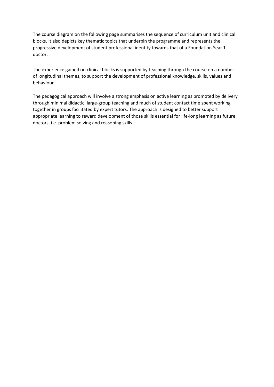The course diagram on the following page summarises the sequence of curriculum unit and clinical blocks. It also depicts key thematic topics that underpin the programme and represents the progressive development of student professional identity towards that of a Foundation Year 1 doctor.

The experience gained on clinical blocks is supported by teaching through the course on a number of longitudinal themes, to support the development of professional knowledge, skills, values and behaviour.

The pedagogical approach will involve a strong emphasis on active learning as promoted by delivery through minimal didactic, large-group teaching and much of student contact time spent working together in groups facilitated by expert tutors. The approach is designed to better support appropriate learning to reward development of those skills essential for life-long learning as future doctors, i.e. problem solving and reasoning skills.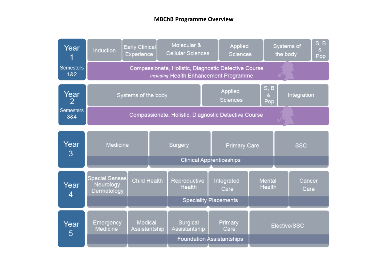# **MBChB Programme Overview**

| Year                    | Induction                                            | Early Clinical<br>Experience | Molecular &<br><b>Cellular Sciences</b>                                                        |  | Applied<br><b>Sciences</b> | Systems of<br>the body                     |                         |                | S, B<br>&<br>Pop |
|-------------------------|------------------------------------------------------|------------------------------|------------------------------------------------------------------------------------------------|--|----------------------------|--------------------------------------------|-------------------------|----------------|------------------|
| <b>Semesters</b><br>1&2 |                                                      |                              | Compassionate, Holistic, Diagnostic Detective Course<br>including Health Enhancement Programme |  |                            |                                            |                         |                |                  |
| Year<br>2               |                                                      | Systems of the body          | Applied<br><b>Sciences</b>                                                                     |  |                            | S, B<br>Integration<br>$\mathbf{8}$<br>Pop |                         |                |                  |
| <b>Semesters</b><br>3&4 | Compassionate, Holistic, Diagnostic Detective Course |                              |                                                                                                |  |                            |                                            |                         |                |                  |
| Year<br>3               | Medicine                                             |                              | Surgery                                                                                        |  | <b>Primary Care</b>        |                                            | <b>SSC</b>              |                |                  |
|                         | <b>Clinical Apprenticeships</b>                      |                              |                                                                                                |  |                            |                                            |                         |                |                  |
| Year<br>4               | Special Senses<br>Neurology<br>Dermatology           | Child Health                 | Reproductive<br><b>Health</b>                                                                  |  | Integrated<br>Care         |                                            | <b>Mental</b><br>Health | Cancer<br>Care |                  |
|                         |                                                      | <b>Speciality Placements</b> |                                                                                                |  |                            |                                            |                         |                |                  |
| Year<br>5               | Emergency<br>Medicine                                | Medical<br>Assistantship     | Surgical<br>Assistantship                                                                      |  | Primary<br>Care            | Elective/SSC                               |                         |                |                  |
|                         |                                                      |                              | <b>Foundation Assistantships</b>                                                               |  |                            |                                            |                         |                |                  |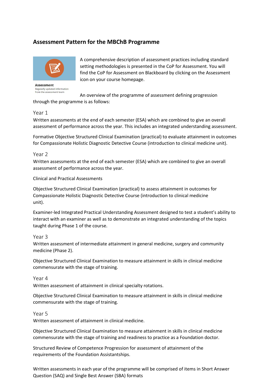# **Assessment Pattern for the MBChB Programme**



**Assessment** Regularly updated information from the assessment team

A comprehensive description of assessment practices including standard setting methodologies is presented in the CoP for Assessment. You will find the CoP for Assessment on Blackboard by clicking on the Assessment icon on your course homepage.

An overview of the programme of assessment defining progression through the programme is as follows:

#### Year 1

Written assessments at the end of each semester (ESA) which are combined to give an overall assessment of performance across the year. This includes an integrated understanding assessment.

Formative Objective Structured Clinical Examination (practical) to evaluate attainment in outcomes for Compassionate Holistic Diagnostic Detective Course (introduction to clinical medicine unit).

#### Year 2

Written assessments at the end of each semester (ESA) which are combined to give an overall assessment of performance across the year.

Clinical and Practical Assessments

Objective Structured Clinical Examination (practical) to assess attainment in outcomes for Compassionate Holistic Diagnostic Detective Course (introduction to clinical medicine unit).

Examiner-led Integrated Practical Understanding Assessment designed to test a student's ability to interact with an examiner as well as to demonstrate an integrated understanding of the topics taught during Phase 1 of the course.

Year 3

Written assessment of intermediate attainment in general medicine, surgery and community medicine (Phase 2).

Objective Structured Clinical Examination to measure attainment in skills in clinical medicine commensurate with the stage of training.

Year 4

Written assessment of attainment in clinical specialty rotations.

Objective Structured Clinical Examination to measure attainment in skills in clinical medicine commensurate with the stage of training.

#### Year 5

Written assessment of attainment in clinical medicine.

Objective Structured Clinical Examination to measure attainment in skills in clinical medicine commensurate with the stage of training and readiness to practice as a Foundation doctor.

Structured Review of Competence Progression for assessment of attainment of the requirements of the Foundation Assistantships.

Written assessments in each year of the programme will be comprised of items in Short Answer Question (SAQ) and Single Best Answer (SBA) formats